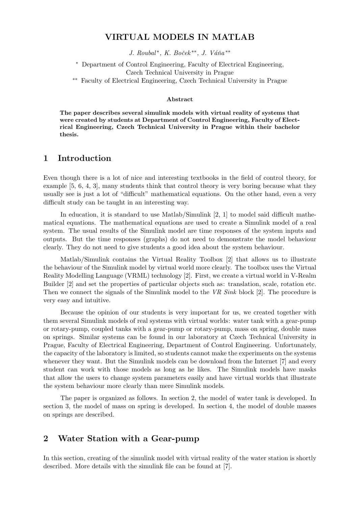### VIRTUAL MODELS IN MATLAB

J. Roubal\*, K. Boček\*\*, J. Váňa\*\*

<sup>∗</sup> Department of Control Engineering, Faculty of Electrical Engineering, Czech Technical University in Prague

∗∗ Faculty of Electrical Engineering, Czech Technical University in Prague

#### Abstract

The paper describes several simulink models with virtual reality of systems that were created by students at Department of Control Engineering, Faculty of Electrical Engineering, Czech Technical University in Prague within their bachelor thesis.

### 1 Introduction

Even though there is a lot of nice and interesting textbooks in the field of control theory, for example [5, 6, 4, 3], many students think that control theory is very boring because what they usually see is just a lot of "difficult" mathematical equations. On the other hand, even a very difficult study can be taught in an interesting way.

In education, it is standard to use Matlab/Simulink [2, 1] to model said difficult mathematical equations. The mathematical equations are used to create a Simulink model of a real system. The usual results of the Simulink model are time responses of the system inputs and outputs. But the time responses (graphs) do not need to demonstrate the model behaviour clearly. They do not need to give students a good idea about the system behaviour.

Matlab/Simulink contains the Virtual Reality Toolbox [2] that allows us to illustrate the behaviour of the Simulink model by virtual world more clearly. The toolbox uses the Virtual Reality Modelling Language (VRML) technology [2]. First, we create a virtual world in V-Realm Builder [2] and set the properties of particular objects such as: translation, scale, rotation etc. Then we connect the signals of the Simulink model to the VR Sink block [2]. The procedure is very easy and intuitive.

Because the opinion of our students is very important for us, we created together with them several Simulink models of real systems with virtual worlds: water tank with a gear-pump or rotary-pump, coupled tanks with a gear-pump or rotary-pump, mass on spring, double mass on springs. Similar systems can be found in our laboratory at Czech Technical University in Prague, Faculty of Electrical Engineering, Department of Control Engineering. Unfortunately, the capacity of the laboratory is limited, so students cannot make the experiments on the systems whenever they want. But the Simulink models can be download from the Internet [7] and every student can work with those models as long as he likes. The Simulink models have masks that allow the users to change system parameters easily and have virtual worlds that illustrate the system behaviour more clearly than mere Simulink models.

The paper is organized as follows. In section 2, the model of water tank is developed. In section 3, the model of mass on spring is developed. In section 4, the model of double masses on springs are described.

### 2 Water Station with a Gear-pump

In this section, creating of the simulink model with virtual reality of the water station is shortly described. More details with the simulink file can be found at [7].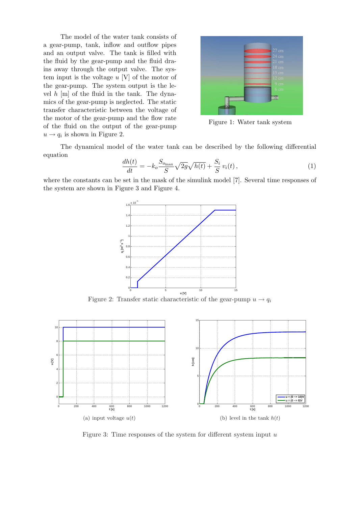The model of the water tank consists of a gear-pump, tank, inflow and outflow pipes and an output valve. The tank is filled with the fluid by the gear-pump and the fluid drains away through the output valve. The system input is the voltage  $u$  [V] of the motor of the gear-pump. The system output is the level  $h$  [m] of the fluid in the tank. The dynamics of the gear-pump is neglected. The static transfer characteristic between the voltage of the motor of the gear-pump and the flow rate of the fluid on the output of the gear-pump  $u \rightarrow q_i$  is shown in Figure 2.



Figure 1: Water tank system

The dynamical model of the water tank can be described by the following differential equation

$$
\frac{dh(t)}{dt} = -k_o \frac{S_{o_{\text{max}}}}{S} \sqrt{2g} \sqrt{h(t)} + \frac{S_i}{S} v_i(t) ,\qquad (1)
$$

where the constants can be set in the mask of the simulink model [7]. Several time responses of the system are shown in Figure 3 and Figure 4.



Figure 2: Transfer static characteristic of the gear-pump  $u \rightarrow q_i$ 



Figure 3: Time responses of the system for different system input  $u$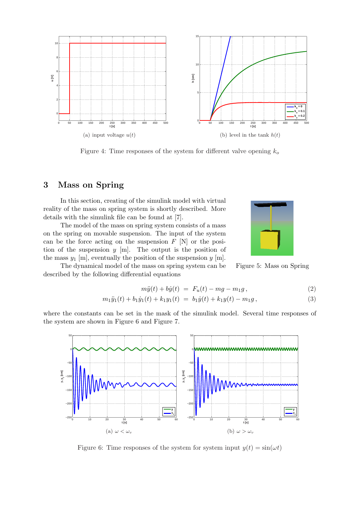

Figure 4: Time responses of the system for different valve opening  $k_o$ 

# 3 Mass on Spring

In this section, creating of the simulink model with virtual reality of the mass on spring system is shortly described. More details with the simulink file can be found at [7].

The model of the mass on spring system consists of a mass on the spring on movable suspension. The input of the system can be the force acting on the suspension  $F$  [N] or the position of the suspension  $y$  [m]. The output is the position of the mass  $y_1$  [m], eventually the position of the suspension  $y$  [m].

The dynamical model of the mass on spring system can be described by the following differential equations



Figure 5: Mass on Spring

$$
m\ddot{y}(t) + b\dot{y}(t) = F_u(t) - mg - m_1g, \qquad (2)
$$

$$
m_1\ddot{y}_1(t) + b_1\dot{y}_1(t) + k_1y_1(t) = b_1\dot{y}(t) + k_1y(t) - m_1g,
$$
\n(3)

where the constants can be set in the mask of the simulink model. Several time responses of the system are shown in Figure 6 and Figure 7.



Figure 6: Time responses of the system for system input  $y(t) = \sin(\omega t)$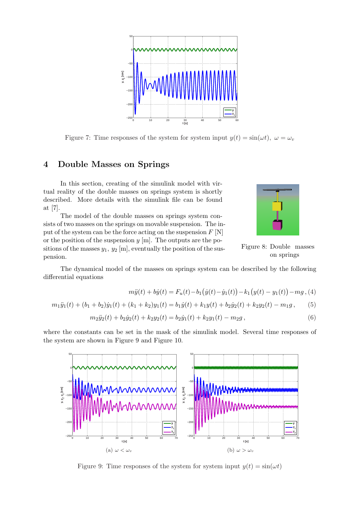

Figure 7: Time responses of the system for system input  $y(t) = \sin(\omega t)$ ,  $\omega = \omega_v$ 

## 4 Double Masses on Springs

In this section, creating of the simulink model with virtual reality of the double masses on springs system is shortly described. More details with the simulink file can be found at [7].

The model of the double masses on springs system consists of two masses on the springs on movable suspension. The input of the system can be the force acting on the suspension  $F[N]$ or the position of the suspension  $y$  [m]. The outputs are the positions of the masses  $y_1, y_2$  [m], eventually the position of the suspension.



Figure 8: Double masses on springs

The dynamical model of the masses on springs system can be described by the following differential equations

$$
m\ddot{y}(t) + b\dot{y}(t) = F_u(t) - b_1(\dot{y}(t) - \dot{y}_1(t)) - k_1(y(t) - y_1(t)) - mg, (4)
$$

$$
m_1\ddot{y}_1(t) + (b_1 + b_2)\dot{y}_1(t) + (k_1 + k_2)y_1(t) = b_1\dot{y}(t) + k_1y(t) + b_2\dot{y}_2(t) + k_2y_2(t) - m_1g\,,\tag{5}
$$

$$
m_2\ddot{y}_2(t) + b_2\dot{y}_2(t) + k_2y_2(t) = b_2\dot{y}_1(t) + k_2y_1(t) - m_2g\,,\tag{6}
$$

where the constants can be set in the mask of the simulink model. Several time responses of the system are shown in Figure 9 and Figure 10.



Figure 9: Time responses of the system for system input  $y(t) = \sin(\omega t)$